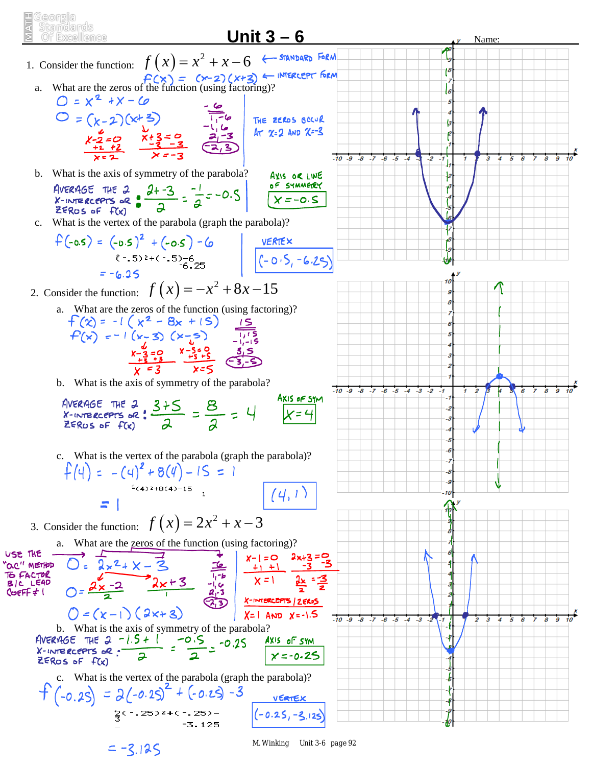